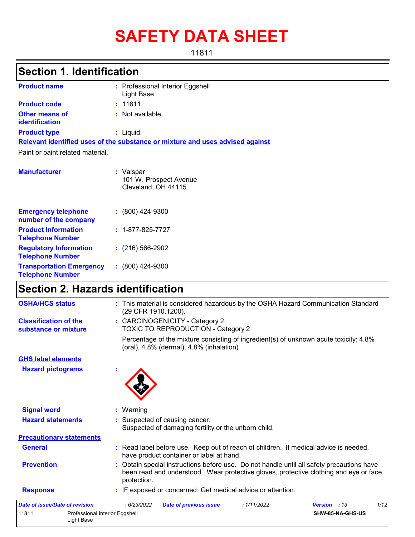# **SAFETY DATA SHEET**

11811

### **Section 1. Identification**

| <b>Product name</b>                            | : Professional Interior Eggshell<br>Light Base                                |
|------------------------------------------------|-------------------------------------------------------------------------------|
| <b>Product code</b>                            | : 11811                                                                       |
| <b>Other means of</b><br><b>identification</b> | : Not available.                                                              |
| <b>Product type</b>                            | $:$ Liquid.                                                                   |
|                                                | Relevant identified uses of the substance or mixture and uses advised against |
| Paint or paint related material.               |                                                                               |
| <b>Manufacturer</b>                            | : Valspar<br>101 W. Prospect Avenue<br>Cleveland, OH 44115                    |

| <b>Emergency telephone</b><br>number of the company        | $: (800)$ 424-9300       |
|------------------------------------------------------------|--------------------------|
| <b>Product Information</b><br><b>Telephone Number</b>      | $: 1 - 877 - 825 - 7727$ |
| <b>Regulatory Information</b><br><b>Telephone Number</b>   | $: (216) 566 - 2902$     |
| <b>Transportation Emergency</b><br><b>Telephone Number</b> | $(800)$ 424-9300         |

### **Section 2. Hazards identification**

Light Base

| 11811<br>Professional Interior Eggshell              | SHW-85-NA-GHS-US                                                                                                                                                                                |
|------------------------------------------------------|-------------------------------------------------------------------------------------------------------------------------------------------------------------------------------------------------|
| <b>Date of issue/Date of revision</b>                | 1/12<br>: 6/23/2022<br><b>Date of previous issue</b><br>: 1/11/2022<br>Version : 13                                                                                                             |
| <b>Response</b>                                      | : IF exposed or concerned: Get medical advice or attention.                                                                                                                                     |
| <b>Prevention</b>                                    | Obtain special instructions before use. Do not handle until all safety precautions have<br>been read and understood. Wear protective gloves, protective clothing and eye or face<br>protection. |
| <b>General</b>                                       | : Read label before use. Keep out of reach of children. If medical advice is needed,<br>have product container or label at hand.                                                                |
| <b>Precautionary statements</b>                      |                                                                                                                                                                                                 |
| <b>Hazard statements</b>                             | : Suspected of causing cancer.<br>Suspected of damaging fertility or the unborn child.                                                                                                          |
| <b>Signal word</b>                                   | : Warning                                                                                                                                                                                       |
| <b>Hazard pictograms</b>                             |                                                                                                                                                                                                 |
| <b>GHS label elements</b>                            |                                                                                                                                                                                                 |
|                                                      | Percentage of the mixture consisting of ingredient(s) of unknown acute toxicity: 4.8%<br>(oral), 4.8% (dermal), 4.8% (inhalation)                                                               |
| <b>Classification of the</b><br>substance or mixture | : CARCINOGENICITY - Category 2<br>TOXIC TO REPRODUCTION - Category 2                                                                                                                            |
| <b>OSHA/HCS status</b>                               | : This material is considered hazardous by the OSHA Hazard Communication Standard<br>(29 CFR 1910.1200).                                                                                        |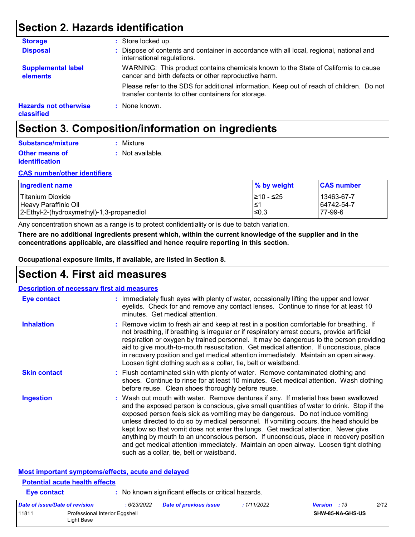### **Section 2. Hazards identification**

| <b>Storage</b>                             | : Store locked up.                                                                                                                              |
|--------------------------------------------|-------------------------------------------------------------------------------------------------------------------------------------------------|
| <b>Disposal</b>                            | : Dispose of contents and container in accordance with all local, regional, national and<br>international regulations.                          |
| <b>Supplemental label</b><br>elements      | WARNING: This product contains chemicals known to the State of California to cause<br>cancer and birth defects or other reproductive harm.      |
|                                            | Please refer to the SDS for additional information. Keep out of reach of children. Do not<br>transfer contents to other containers for storage. |
| <b>Hazards not otherwise</b><br>classified | $:$ None known.                                                                                                                                 |

### **Section 3. Composition/information on ingredients**

| Substance/mixture     | : Mixture        |
|-----------------------|------------------|
| <b>Other means of</b> | : Not available. |
| <b>identification</b> |                  |

#### **CAS number/other identifiers**

| <b>Ingredient name</b>                    | % by weight | <b>CAS number</b> |
|-------------------------------------------|-------------|-------------------|
| l Titanium Dioxide                        | 210 - ≤25   | 13463-67-7        |
| Heavy Paraffinic Oil                      | 1≤1         | 64742-54-7        |
| 2-Ethyl-2-(hydroxymethyl)-1,3-propanediol | ≤0.3        | 77-99-6           |

Any concentration shown as a range is to protect confidentiality or is due to batch variation.

**There are no additional ingredients present which, within the current knowledge of the supplier and in the concentrations applicable, are classified and hence require reporting in this section.**

**Occupational exposure limits, if available, are listed in Section 8.**

### **Section 4. First aid measures**

| <b>Description of necessary first aid measures</b> |                                                                                                                                                                                                                                                                                                                                                                                                                                                                                                                                                                                                                                                                                   |
|----------------------------------------------------|-----------------------------------------------------------------------------------------------------------------------------------------------------------------------------------------------------------------------------------------------------------------------------------------------------------------------------------------------------------------------------------------------------------------------------------------------------------------------------------------------------------------------------------------------------------------------------------------------------------------------------------------------------------------------------------|
| <b>Eye contact</b>                                 | : Immediately flush eyes with plenty of water, occasionally lifting the upper and lower<br>eyelids. Check for and remove any contact lenses. Continue to rinse for at least 10<br>minutes. Get medical attention.                                                                                                                                                                                                                                                                                                                                                                                                                                                                 |
| <b>Inhalation</b>                                  | : Remove victim to fresh air and keep at rest in a position comfortable for breathing. If<br>not breathing, if breathing is irregular or if respiratory arrest occurs, provide artificial<br>respiration or oxygen by trained personnel. It may be dangerous to the person providing<br>aid to give mouth-to-mouth resuscitation. Get medical attention. If unconscious, place<br>in recovery position and get medical attention immediately. Maintain an open airway.<br>Loosen tight clothing such as a collar, tie, belt or waistband.                                                                                                                                         |
| <b>Skin contact</b>                                | : Flush contaminated skin with plenty of water. Remove contaminated clothing and<br>shoes. Continue to rinse for at least 10 minutes. Get medical attention. Wash clothing<br>before reuse. Clean shoes thoroughly before reuse.                                                                                                                                                                                                                                                                                                                                                                                                                                                  |
| <b>Ingestion</b>                                   | : Wash out mouth with water. Remove dentures if any. If material has been swallowed<br>and the exposed person is conscious, give small quantities of water to drink. Stop if the<br>exposed person feels sick as vomiting may be dangerous. Do not induce vomiting<br>unless directed to do so by medical personnel. If vomiting occurs, the head should be<br>kept low so that vomit does not enter the lungs. Get medical attention. Never give<br>anything by mouth to an unconscious person. If unconscious, place in recovery position<br>and get medical attention immediately. Maintain an open airway. Loosen tight clothing<br>such as a collar, tie, belt or waistband. |
| Most important symptoms/effects, acute and delayed |                                                                                                                                                                                                                                                                                                                                                                                                                                                                                                                                                                                                                                                                                   |
| <b>Potential acute health effects</b>              |                                                                                                                                                                                                                                                                                                                                                                                                                                                                                                                                                                                                                                                                                   |
| <b>Eye contact</b>                                 | : No known significant effects or critical hazards.                                                                                                                                                                                                                                                                                                                                                                                                                                                                                                                                                                                                                               |

| Date of issue/Date of revision |                                              | : 6/23/2022 | Date of previous issue | : 1/11/2022 | <b>Version</b> : 13 |                         | 2/12 |
|--------------------------------|----------------------------------------------|-------------|------------------------|-------------|---------------------|-------------------------|------|
| 11811                          | Professional Interior Eggshell<br>∟iɑht Base |             |                        |             |                     | <b>SHW-85-NA-GHS-US</b> |      |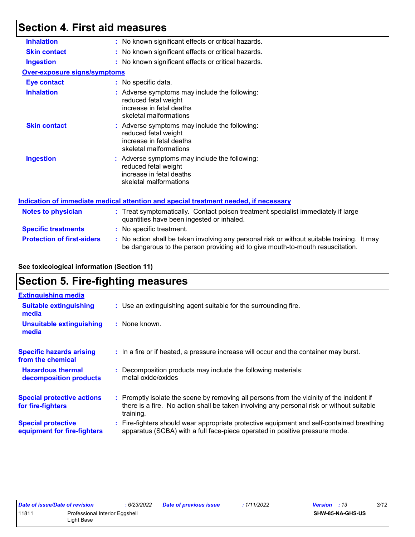### **Section 4. First aid measures**

| <b>Inhalation</b>                   | : No known significant effects or critical hazards.                                                                                                                           |  |
|-------------------------------------|-------------------------------------------------------------------------------------------------------------------------------------------------------------------------------|--|
| <b>Skin contact</b>                 | : No known significant effects or critical hazards.                                                                                                                           |  |
| <b>Ingestion</b>                    | : No known significant effects or critical hazards.                                                                                                                           |  |
| <b>Over-exposure signs/symptoms</b> |                                                                                                                                                                               |  |
| <b>Eye contact</b>                  | : No specific data.                                                                                                                                                           |  |
| <b>Inhalation</b>                   | : Adverse symptoms may include the following:<br>reduced fetal weight<br>increase in fetal deaths<br>skeletal malformations                                                   |  |
| <b>Skin contact</b>                 | : Adverse symptoms may include the following:<br>reduced fetal weight<br>increase in fetal deaths<br>skeletal malformations                                                   |  |
| <b>Ingestion</b>                    | : Adverse symptoms may include the following:<br>reduced fetal weight<br>increase in fetal deaths<br>skeletal malformations                                                   |  |
|                                     | Indication of immediate medical attention and special treatment needed, if necessary                                                                                          |  |
| <b>Notes to physician</b>           | : Treat symptomatically. Contact poison treatment specialist immediately if large<br>quantities have been ingested or inhaled.                                                |  |
| <b>Specific treatments</b>          | : No specific treatment.                                                                                                                                                      |  |
| <b>Protection of first-aiders</b>   | : No action shall be taken involving any personal risk or without suitable training. It may<br>be dangerous to the person providing aid to give mouth-to-mouth resuscitation. |  |

#### **See toxicological information (Section 11)**

### **Section 5. Fire-fighting measures**

| <b>Extinguishing media</b>                               |                                                                                                                                                                                                     |
|----------------------------------------------------------|-----------------------------------------------------------------------------------------------------------------------------------------------------------------------------------------------------|
| <b>Suitable extinguishing</b><br>media                   | : Use an extinguishing agent suitable for the surrounding fire.                                                                                                                                     |
| <b>Unsuitable extinguishing</b><br>media                 | : None known.                                                                                                                                                                                       |
| <b>Specific hazards arising</b><br>from the chemical     | : In a fire or if heated, a pressure increase will occur and the container may burst.                                                                                                               |
| <b>Hazardous thermal</b><br>decomposition products       | : Decomposition products may include the following materials:<br>metal oxide/oxides                                                                                                                 |
| <b>Special protective actions</b><br>for fire-fighters   | : Promptly isolate the scene by removing all persons from the vicinity of the incident if<br>there is a fire. No action shall be taken involving any personal risk or without suitable<br>training. |
| <b>Special protective</b><br>equipment for fire-fighters | Fire-fighters should wear appropriate protective equipment and self-contained breathing<br>apparatus (SCBA) with a full face-piece operated in positive pressure mode.                              |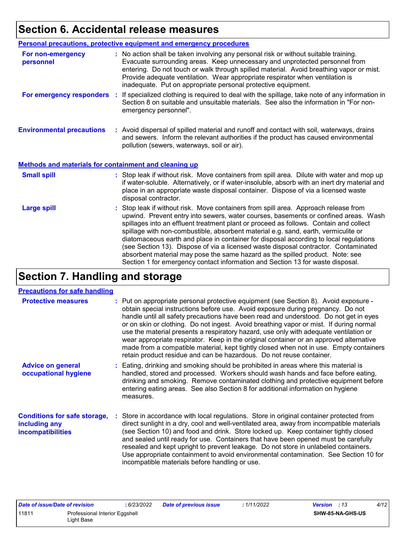## **Section 6. Accidental release measures**

|                                                              | <b>Personal precautions, protective equipment and emergency procedures</b>                                                                                                                                                                                                                                                                                                                                                                                                                                                                                                                                                                                                                                   |
|--------------------------------------------------------------|--------------------------------------------------------------------------------------------------------------------------------------------------------------------------------------------------------------------------------------------------------------------------------------------------------------------------------------------------------------------------------------------------------------------------------------------------------------------------------------------------------------------------------------------------------------------------------------------------------------------------------------------------------------------------------------------------------------|
| For non-emergency<br>personnel                               | : No action shall be taken involving any personal risk or without suitable training.<br>Evacuate surrounding areas. Keep unnecessary and unprotected personnel from<br>entering. Do not touch or walk through spilled material. Avoid breathing vapor or mist.<br>Provide adequate ventilation. Wear appropriate respirator when ventilation is<br>inadequate. Put on appropriate personal protective equipment.                                                                                                                                                                                                                                                                                             |
| For emergency responders                                     | : If specialized clothing is required to deal with the spillage, take note of any information in<br>Section 8 on suitable and unsuitable materials. See also the information in "For non-<br>emergency personnel".                                                                                                                                                                                                                                                                                                                                                                                                                                                                                           |
| <b>Environmental precautions</b>                             | : Avoid dispersal of spilled material and runoff and contact with soil, waterways, drains<br>and sewers. Inform the relevant authorities if the product has caused environmental<br>pollution (sewers, waterways, soil or air).                                                                                                                                                                                                                                                                                                                                                                                                                                                                              |
| <b>Methods and materials for containment and cleaning up</b> |                                                                                                                                                                                                                                                                                                                                                                                                                                                                                                                                                                                                                                                                                                              |
| <b>Small spill</b>                                           | : Stop leak if without risk. Move containers from spill area. Dilute with water and mop up<br>if water-soluble. Alternatively, or if water-insoluble, absorb with an inert dry material and<br>place in an appropriate waste disposal container. Dispose of via a licensed waste<br>disposal contractor.                                                                                                                                                                                                                                                                                                                                                                                                     |
| <b>Large spill</b>                                           | : Stop leak if without risk. Move containers from spill area. Approach release from<br>upwind. Prevent entry into sewers, water courses, basements or confined areas. Wash<br>spillages into an effluent treatment plant or proceed as follows. Contain and collect<br>spillage with non-combustible, absorbent material e.g. sand, earth, vermiculite or<br>diatomaceous earth and place in container for disposal according to local regulations<br>(see Section 13). Dispose of via a licensed waste disposal contractor. Contaminated<br>absorbent material may pose the same hazard as the spilled product. Note: see<br>Section 1 for emergency contact information and Section 13 for waste disposal. |

## **Section 7. Handling and storage**

#### **Precautions for safe handling**

| <b>Protective measures</b>                                                | : Put on appropriate personal protective equipment (see Section 8). Avoid exposure -<br>obtain special instructions before use. Avoid exposure during pregnancy. Do not<br>handle until all safety precautions have been read and understood. Do not get in eyes<br>or on skin or clothing. Do not ingest. Avoid breathing vapor or mist. If during normal<br>use the material presents a respiratory hazard, use only with adequate ventilation or<br>wear appropriate respirator. Keep in the original container or an approved alternative<br>made from a compatible material, kept tightly closed when not in use. Empty containers<br>retain product residue and can be hazardous. Do not reuse container. |
|---------------------------------------------------------------------------|-----------------------------------------------------------------------------------------------------------------------------------------------------------------------------------------------------------------------------------------------------------------------------------------------------------------------------------------------------------------------------------------------------------------------------------------------------------------------------------------------------------------------------------------------------------------------------------------------------------------------------------------------------------------------------------------------------------------|
| <b>Advice on general</b><br>occupational hygiene                          | : Eating, drinking and smoking should be prohibited in areas where this material is<br>handled, stored and processed. Workers should wash hands and face before eating,<br>drinking and smoking. Remove contaminated clothing and protective equipment before<br>entering eating areas. See also Section 8 for additional information on hygiene<br>measures.                                                                                                                                                                                                                                                                                                                                                   |
| <b>Conditions for safe storage,</b><br>including any<br>incompatibilities | : Store in accordance with local regulations. Store in original container protected from<br>direct sunlight in a dry, cool and well-ventilated area, away from incompatible materials<br>(see Section 10) and food and drink. Store locked up. Keep container tightly closed<br>and sealed until ready for use. Containers that have been opened must be carefully<br>resealed and kept upright to prevent leakage. Do not store in unlabeled containers.<br>Use appropriate containment to avoid environmental contamination. See Section 10 for<br>incompatible materials before handling or use.                                                                                                             |

| Date of issue/Date of revision |                                | 6/23/2022 | <b>Date of previous issue</b> | : 1/11/2022 | <b>Version</b> : 13     | 4/12 |
|--------------------------------|--------------------------------|-----------|-------------------------------|-------------|-------------------------|------|
| 11811                          | Professional Interior Eggshell |           |                               |             | <b>SHW-85-NA-GHS-US</b> |      |
|                                | Light Base                     |           |                               |             |                         |      |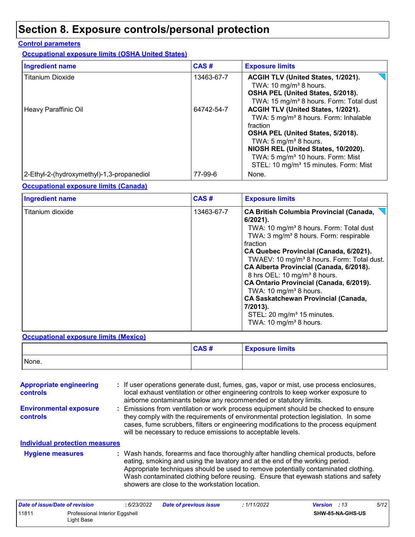## **Section 8. Exposure controls/personal protection**

#### **Control parameters**

**Occupational exposure limits (OSHA United States)**

| <b>Ingredient name</b>                    | CAS#       | <b>Exposure limits</b>                                                                                                                                                                                                                                                                                                     |
|-------------------------------------------|------------|----------------------------------------------------------------------------------------------------------------------------------------------------------------------------------------------------------------------------------------------------------------------------------------------------------------------------|
| <b>Titanium Dioxide</b>                   | 13463-67-7 | ACGIH TLV (United States, 1/2021).<br>TWA: 10 mg/m <sup>3</sup> 8 hours.<br>OSHA PEL (United States, 5/2018).<br>TWA: 15 mg/m <sup>3</sup> 8 hours. Form: Total dust                                                                                                                                                       |
| Heavy Paraffinic Oil                      | 64742-54-7 | ACGIH TLV (United States, 1/2021).<br>TWA: 5 mg/m <sup>3</sup> 8 hours. Form: Inhalable<br>fraction<br>OSHA PEL (United States, 5/2018).<br>TWA: 5 mg/m <sup>3</sup> 8 hours.<br>NIOSH REL (United States, 10/2020).<br>TWA: 5 mg/m <sup>3</sup> 10 hours. Form: Mist<br>STEL: 10 mg/m <sup>3</sup> 15 minutes. Form: Mist |
| 2-Ethyl-2-(hydroxymethyl)-1,3-propanediol | 77-99-6    | None.                                                                                                                                                                                                                                                                                                                      |

#### **Occupational exposure limits (Canada)**

| <b>Ingredient name</b> | CAS#       | <b>Exposure limits</b>                                                                                                                                                                                                                                                                                                                                                                                                                                                                                                                                                                                       |
|------------------------|------------|--------------------------------------------------------------------------------------------------------------------------------------------------------------------------------------------------------------------------------------------------------------------------------------------------------------------------------------------------------------------------------------------------------------------------------------------------------------------------------------------------------------------------------------------------------------------------------------------------------------|
| Titanium dioxide       | 13463-67-7 | <b>CA British Columbia Provincial (Canada,</b><br>$6/2021$ ).<br>TWA: 10 mg/m <sup>3</sup> 8 hours. Form: Total dust<br>TWA: 3 mg/m <sup>3</sup> 8 hours. Form: respirable<br>fraction<br>CA Quebec Provincial (Canada, 6/2021).<br>TWAEV: 10 mg/m <sup>3</sup> 8 hours. Form: Total dust.<br>CA Alberta Provincial (Canada, 6/2018).<br>8 hrs OEL: 10 mg/m <sup>3</sup> 8 hours.<br>CA Ontario Provincial (Canada, 6/2019).<br>TWA: 10 mg/m <sup>3</sup> 8 hours.<br><b>CA Saskatchewan Provincial (Canada,</b><br>7/2013).<br>STEL: 20 mg/m <sup>3</sup> 15 minutes.<br>TWA: 10 mg/m <sup>3</sup> 8 hours. |

#### **Occupational exposure limits (Mexico)**

|       | CAS# | <b>Exposure limits</b> |
|-------|------|------------------------|
| None. |      |                        |

| <b>Appropriate engineering</b><br><b>controls</b> | : If user operations generate dust, fumes, gas, vapor or mist, use process enclosures,<br>local exhaust ventilation or other engineering controls to keep worker exposure to<br>airborne contaminants below any recommended or statutory limits.                                                                                                                                                  |
|---------------------------------------------------|---------------------------------------------------------------------------------------------------------------------------------------------------------------------------------------------------------------------------------------------------------------------------------------------------------------------------------------------------------------------------------------------------|
| <b>Environmental exposure</b><br>controls         | : Emissions from ventilation or work process equipment should be checked to ensure<br>they comply with the requirements of environmental protection legislation. In some<br>cases, fume scrubbers, filters or engineering modifications to the process equipment<br>will be necessary to reduce emissions to acceptable levels.                                                                   |
| <b>Individual protection measures</b>             |                                                                                                                                                                                                                                                                                                                                                                                                   |
| <b>Hygiene measures</b>                           | : Wash hands, forearms and face thoroughly after handling chemical products, before<br>eating, smoking and using the lavatory and at the end of the working period.<br>Appropriate techniques should be used to remove potentially contaminated clothing.<br>Wash contaminated clothing before reusing. Ensure that eyewash stations and safety<br>showers are close to the workstation location. |

| Date of issue/Date of revision |                                              | : 6/23/2022 | <b>Date of previous issue</b> | : 1/11/2022 | <b>Version</b> : 13 |                         | 5/12 |
|--------------------------------|----------------------------------------------|-------------|-------------------------------|-------------|---------------------|-------------------------|------|
| 11811                          | Professional Interior Eggshell<br>Light Base |             |                               |             |                     | <b>SHW-85-NA-GHS-US</b> |      |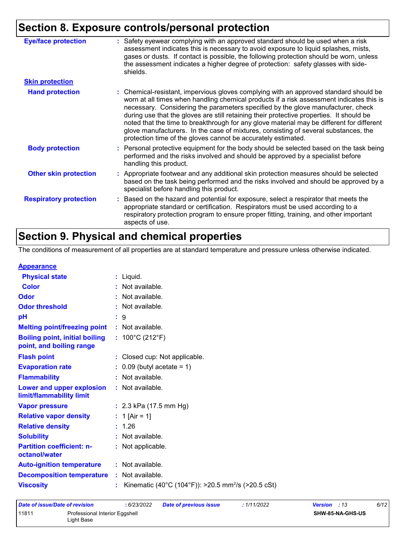## **Section 8. Exposure controls/personal protection**

| <b>Eye/face protection</b>    | : Safety eyewear complying with an approved standard should be used when a risk<br>assessment indicates this is necessary to avoid exposure to liquid splashes, mists,<br>gases or dusts. If contact is possible, the following protection should be worn, unless<br>the assessment indicates a higher degree of protection: safety glasses with side-<br>shields.                                                                                                                                                                                                                                                     |
|-------------------------------|------------------------------------------------------------------------------------------------------------------------------------------------------------------------------------------------------------------------------------------------------------------------------------------------------------------------------------------------------------------------------------------------------------------------------------------------------------------------------------------------------------------------------------------------------------------------------------------------------------------------|
| <b>Skin protection</b>        |                                                                                                                                                                                                                                                                                                                                                                                                                                                                                                                                                                                                                        |
| <b>Hand protection</b>        | : Chemical-resistant, impervious gloves complying with an approved standard should be<br>worn at all times when handling chemical products if a risk assessment indicates this is<br>necessary. Considering the parameters specified by the glove manufacturer, check<br>during use that the gloves are still retaining their protective properties. It should be<br>noted that the time to breakthrough for any glove material may be different for different<br>glove manufacturers. In the case of mixtures, consisting of several substances, the<br>protection time of the gloves cannot be accurately estimated. |
| <b>Body protection</b>        | : Personal protective equipment for the body should be selected based on the task being<br>performed and the risks involved and should be approved by a specialist before<br>handling this product.                                                                                                                                                                                                                                                                                                                                                                                                                    |
| <b>Other skin protection</b>  | : Appropriate footwear and any additional skin protection measures should be selected<br>based on the task being performed and the risks involved and should be approved by a<br>specialist before handling this product.                                                                                                                                                                                                                                                                                                                                                                                              |
| <b>Respiratory protection</b> | Based on the hazard and potential for exposure, select a respirator that meets the<br>appropriate standard or certification. Respirators must be used according to a<br>respiratory protection program to ensure proper fitting, training, and other important<br>aspects of use.                                                                                                                                                                                                                                                                                                                                      |

## **Section 9. Physical and chemical properties**

The conditions of measurement of all properties are at standard temperature and pressure unless otherwise indicated.

| <b>Appearance</b> |
|-------------------|
|-------------------|

| <u>Appourance</u>                                                 |    |                                                                |
|-------------------------------------------------------------------|----|----------------------------------------------------------------|
| <b>Physical state</b>                                             |    | $:$ Liquid.                                                    |
| <b>Color</b>                                                      |    | : Not available.                                               |
| Odor                                                              |    | : Not available.                                               |
| <b>Odor threshold</b>                                             |    | : Not available.                                               |
| pH                                                                |    | :9                                                             |
| <b>Melting point/freezing point</b>                               |    | : Not available.                                               |
| <b>Boiling point, initial boiling</b><br>point, and boiling range |    | : $100^{\circ}$ C (212 $^{\circ}$ F)                           |
| <b>Flash point</b>                                                |    | : Closed cup: Not applicable.                                  |
| <b>Evaporation rate</b>                                           |    | $\therefore$ 0.09 (butyl acetate = 1)                          |
| <b>Flammability</b>                                               |    | : Not available.                                               |
| Lower and upper explosion<br>limit/flammability limit             |    | : Not available.                                               |
| <b>Vapor pressure</b>                                             |    | : $2.3$ kPa (17.5 mm Hg)                                       |
| <b>Relative vapor density</b>                                     |    | : 1 [Air = 1]                                                  |
| <b>Relative density</b>                                           |    | : 1.26                                                         |
| <b>Solubility</b>                                                 |    | : Not available.                                               |
| <b>Partition coefficient: n-</b><br>octanol/water                 |    | : Not applicable.                                              |
| <b>Auto-ignition temperature</b>                                  |    | : Not available.                                               |
| <b>Decomposition temperature</b>                                  |    | : Not available.                                               |
| <b>Viscosity</b>                                                  | ÷. | Kinematic (40°C (104°F)): >20.5 mm <sup>2</sup> /s (>20.5 cSt) |
|                                                                   |    |                                                                |

| Date of issue/Date of revision |                                              | : 6/23/2022 | <b>Date of previous issue</b> | : 1/11/2022 | 6/12<br><b>Version</b> : 13 |
|--------------------------------|----------------------------------------------|-------------|-------------------------------|-------------|-----------------------------|
| 11811                          | Professional Interior Eggshell<br>Light Base |             |                               |             | SHW-85-NA-GHS-US            |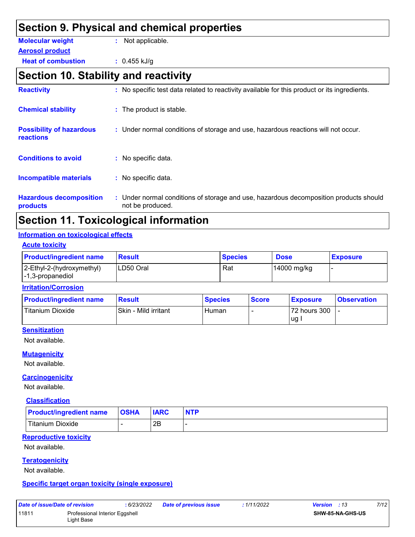|                                              | Section 9. Physical and chemical properties                                                  |
|----------------------------------------------|----------------------------------------------------------------------------------------------|
| <b>Molecular weight</b>                      | : Not applicable.                                                                            |
| <b>Aerosol product</b>                       |                                                                                              |
| <b>Heat of combustion</b>                    | $: 0.455$ kJ/g                                                                               |
| Section 10. Stability and reactivity         |                                                                                              |
| <b>Reactivity</b>                            | : No specific test data related to reactivity available for this product or its ingredients. |
| <b>Chemical stability</b>                    | : The product is stable.                                                                     |
| <b>Possibility of hazardous</b><br>reactions | : Under normal conditions of storage and use, hazardous reactions will not occur.            |
| <b>Conditions to avoid</b>                   | : No specific data.                                                                          |
| <b>Incompatible materials</b>                | : No specific data.                                                                          |
| <b>Hazardous decomposition</b>               | : Under normal conditions of storage and use, hazardous decomposition products should        |

**products**

Under normal conditions of storage and use, hazardous decomposition products should not be produced.

### **Section 11. Toxicological information**

#### **Information on toxicological effects**

| <b>Acute toxicity</b> |  |
|-----------------------|--|
|                       |  |

| <b>Product/ingredient name</b>                                        | <b>Result</b> | <b>Species</b> | <b>Dose</b> | <b>Exposure</b> |
|-----------------------------------------------------------------------|---------------|----------------|-------------|-----------------|
| 2-Ethyl-2-(hydroxymethyl)<br>$\left  -1, 3\text{-propanediol}\right $ | LD50 Oral     | Rat            | 14000 mg/kg |                 |

#### **Irritation/Corrosion**

| <b>Product/ingredient name</b> | Result               | <b>Species</b> | <b>Score</b> | <b>Exposure</b> | <b>Observation</b> |
|--------------------------------|----------------------|----------------|--------------|-----------------|--------------------|
| <b>Titanium Dioxide</b>        | Skin - Mild irritant | Human          |              | 72 hours 300    |                    |
|                                |                      |                |              | lug.            |                    |

#### **Sensitization**

Not available.

#### **Mutagenicity**

Not available.

#### **Carcinogenicity**

Not available.

#### **Classification**

| <b>Product/ingredient name</b> | <b>OSHA</b> | <b>IARC</b> | <b>NTP</b> |
|--------------------------------|-------------|-------------|------------|
| Titanium Dioxide               |             | 2Β          |            |

#### **Reproductive toxicity**

Not available.

#### **Teratogenicity**

Not available.

#### **Specific target organ toxicity (single exposure)**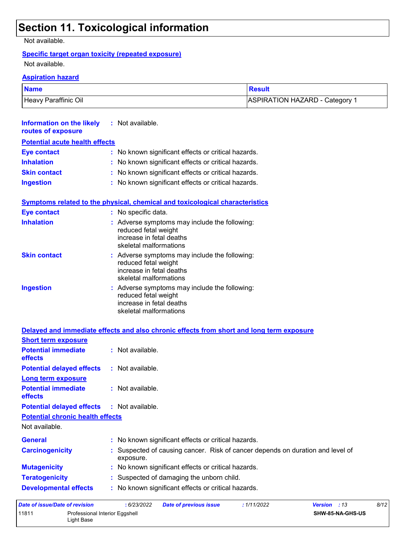## **Section 11. Toxicological information**

Not available.

#### **Specific target organ toxicity (repeated exposure)**

Not available.

#### **Aspiration hazard**

| <b>Name</b>          | Result                         |
|----------------------|--------------------------------|
| Heavy Paraffinic Oil | ASPIRATION HAZARD - Category 1 |

| Information on the likely<br>routes of exposure | $:$ Not available.                                                                                                          |
|-------------------------------------------------|-----------------------------------------------------------------------------------------------------------------------------|
| <b>Potential acute health effects</b>           |                                                                                                                             |
| Eye contact                                     | : No known significant effects or critical hazards.                                                                         |
| <b>Inhalation</b>                               | : No known significant effects or critical hazards.                                                                         |
| <b>Skin contact</b>                             | : No known significant effects or critical hazards.                                                                         |
| <b>Ingestion</b>                                | : No known significant effects or critical hazards.                                                                         |
|                                                 | <b>Symptoms related to the physical, chemical and toxicological characteristics</b>                                         |
| <b>Eye contact</b>                              | : No specific data.                                                                                                         |
| <b>Inhalation</b>                               | : Adverse symptoms may include the following:<br>reduced fetal weight<br>increase in fetal deaths<br>skeletal malformations |
| <b>Skin contact</b>                             | : Adverse symptoms may include the following:<br>reduced fetal weight<br>increase in fetal deaths<br>skeletal malformations |
| <b>Ingestion</b>                                | : Adverse symptoms may include the following:<br>reduced fetal weight<br>increase in fetal deaths                           |

skeletal malformations

|                                                   | Delayed and immediate effects and also chronic effects from short and long term exposure  |
|---------------------------------------------------|-------------------------------------------------------------------------------------------|
| <b>Short term exposure</b>                        |                                                                                           |
| <b>Potential immediate</b><br><b>effects</b>      | $:$ Not available.                                                                        |
| <b>Potential delayed effects</b>                  | : Not available.                                                                          |
| <b>Long term exposure</b>                         |                                                                                           |
| <b>Potential immediate</b><br><b>effects</b>      | $:$ Not available.                                                                        |
| <b>Potential delayed effects : Not available.</b> |                                                                                           |
| <b>Potential chronic health effects</b>           |                                                                                           |
| Not available.                                    |                                                                                           |
| <b>General</b>                                    | : No known significant effects or critical hazards.                                       |
| <b>Carcinogenicity</b>                            | Suspected of causing cancer. Risk of cancer depends on duration and level of<br>exposure. |
| <b>Mutagenicity</b>                               | : No known significant effects or critical hazards.                                       |
| <b>Teratogenicity</b>                             | : Suspected of damaging the unborn child.                                                 |
| <b>Developmental effects</b>                      | : No known significant effects or critical hazards.                                       |
| Data of iccup/Data of ravicion.                   | .6/22/2022<br>Data of province issue.<br>.1/11/2002<br>$Marcion \t+12$                    |

| Date of issue/Date of revision |                                              | :6/23/2022 | Date of previous issue | : 1/11/2022 | <b>Version</b> : 13 |                         | 8/12 |
|--------------------------------|----------------------------------------------|------------|------------------------|-------------|---------------------|-------------------------|------|
| 11811                          | Professional Interior Eggshell<br>∟iɑht Base |            |                        |             |                     | <b>SHW-85-NA-GHS-US</b> |      |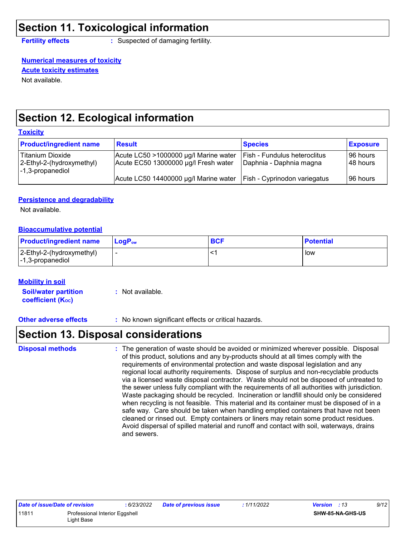### **Section 11. Toxicological information**

**Fertility effects :** Suspected of damaging fertility.

#### **Numerical measures of toxicity Acute toxicity estimates**

Not available.

### **Section 12. Ecological information**

#### **Toxicity**

| <b>Product/ingredient name</b>                                    | <b>Result</b>                                                                 | <b>Species</b>                                                 | <b>Exposure</b>          |
|-------------------------------------------------------------------|-------------------------------------------------------------------------------|----------------------------------------------------------------|--------------------------|
| Titanium Dioxide<br>2-Ethyl-2-(hydroxymethyl)<br>-1,3-propanediol | Acute LC50 >1000000 µg/l Marine water<br>Acute EC50 13000000 µg/l Fresh water | <b>Fish - Fundulus heteroclitus</b><br>Daphnia - Daphnia magna | l 96 hours<br>l 48 hours |
|                                                                   | Acute LC50 14400000 µg/l Marine water                                         | <b>Fish - Cyprinodon variegatus</b>                            | 96 hours                 |

#### **Persistence and degradability**

Not available.

#### **Bioaccumulative potential**

| <b>Product/ingredient name</b>                                            | l LoɑP <sub>∾</sub> | <b>BCF</b> | <b>Potential</b> |
|---------------------------------------------------------------------------|---------------------|------------|------------------|
| $ 2$ -Ethyl-2-(hydroxymethyl)<br>$\left  -1, 3\text{-propanediol}\right $ |                     |            | low              |

#### **Mobility in soil**

**Soil/water partition coefficient (KOC) :** Not available.

**Other adverse effects** : No known significant effects or critical hazards.

### **Section 13. Disposal considerations**

The generation of waste should be avoided or minimized wherever possible. Disposal of this product, solutions and any by-products should at all times comply with the requirements of environmental protection and waste disposal legislation and any regional local authority requirements. Dispose of surplus and non-recyclable products via a licensed waste disposal contractor. Waste should not be disposed of untreated to the sewer unless fully compliant with the requirements of all authorities with jurisdiction. Waste packaging should be recycled. Incineration or landfill should only be considered when recycling is not feasible. This material and its container must be disposed of in a safe way. Care should be taken when handling emptied containers that have not been cleaned or rinsed out. Empty containers or liners may retain some product residues. Avoid dispersal of spilled material and runoff and contact with soil, waterways, drains and sewers. **Disposal methods :**

| <b>Date of issue/Date of revision</b>   |            | 6/23/2022 | <b>Date of previous issue</b> | 1/11/2022               | <b>Version</b> : 13 | 9/12 |
|-----------------------------------------|------------|-----------|-------------------------------|-------------------------|---------------------|------|
| 11811<br>Professional Interior Eggshell |            |           |                               | <b>SHW-85-NA-GHS-US</b> |                     |      |
|                                         | ∟iqht Base |           |                               |                         |                     |      |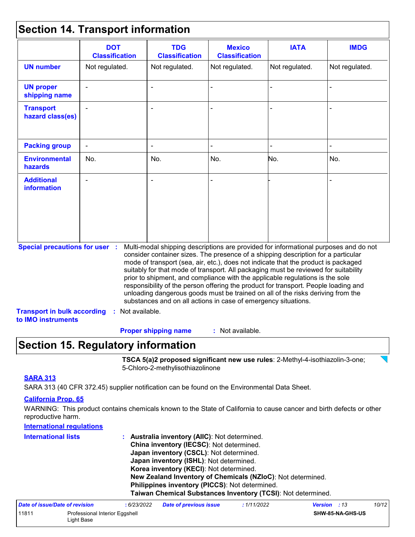### **Section 14. Transport information**

|                                                                                                   | <b>DOT</b><br><b>Classification</b> | <b>TDG</b><br><b>Classification</b>                            | <b>Mexico</b><br><b>Classification</b> | <b>IATA</b>                                                                                                                                                                                                                                                                                                                                                                                                                                                                                                                                                                                                       | <b>IMDG</b>    |
|---------------------------------------------------------------------------------------------------|-------------------------------------|----------------------------------------------------------------|----------------------------------------|-------------------------------------------------------------------------------------------------------------------------------------------------------------------------------------------------------------------------------------------------------------------------------------------------------------------------------------------------------------------------------------------------------------------------------------------------------------------------------------------------------------------------------------------------------------------------------------------------------------------|----------------|
| <b>UN number</b>                                                                                  | Not regulated.                      | Not regulated.                                                 | Not regulated.                         | Not regulated.                                                                                                                                                                                                                                                                                                                                                                                                                                                                                                                                                                                                    | Not regulated. |
| <b>UN proper</b><br>shipping name                                                                 |                                     |                                                                |                                        |                                                                                                                                                                                                                                                                                                                                                                                                                                                                                                                                                                                                                   |                |
| <b>Transport</b><br>hazard class(es)                                                              |                                     |                                                                |                                        |                                                                                                                                                                                                                                                                                                                                                                                                                                                                                                                                                                                                                   |                |
| <b>Packing group</b>                                                                              |                                     |                                                                |                                        |                                                                                                                                                                                                                                                                                                                                                                                                                                                                                                                                                                                                                   |                |
| <b>Environmental</b><br>hazards                                                                   | No.                                 | No.                                                            | No.                                    | No.                                                                                                                                                                                                                                                                                                                                                                                                                                                                                                                                                                                                               | No.            |
| <b>Additional</b><br><b>information</b>                                                           |                                     |                                                                |                                        |                                                                                                                                                                                                                                                                                                                                                                                                                                                                                                                                                                                                                   |                |
| <b>Special precautions for user :</b><br><b>Transport in bulk according</b><br>to IMO instruments | : Not available.                    | substances and on all actions in case of emergency situations. |                                        | Multi-modal shipping descriptions are provided for informational purposes and do not<br>consider container sizes. The presence of a shipping description for a particular<br>mode of transport (sea, air, etc.), does not indicate that the product is packaged<br>suitably for that mode of transport. All packaging must be reviewed for suitability<br>prior to shipment, and compliance with the applicable regulations is the sole<br>responsibility of the person offering the product for transport. People loading and<br>unloading dangerous goods must be trained on all of the risks deriving from the |                |

### **Section 15. Regulatory information**

**TSCA 5(a)2 proposed significant new use rules**: 2-Methyl-4-isothiazolin-3-one; 5-Chloro-2-methylisothiazolinone

#### **SARA 313**

SARA 313 (40 CFR 372.45) supplier notification can be found on the Environmental Data Sheet.

#### **California Prop. 65**

WARNING: This product contains chemicals known to the State of California to cause cancer and birth defects or other reproductive harm.

| <b>International regulations</b> |                                                              |
|----------------------------------|--------------------------------------------------------------|
| <b>International lists</b>       | : Australia inventory (AIIC): Not determined.                |
|                                  | China inventory (IECSC): Not determined.                     |
|                                  | Japan inventory (CSCL): Not determined.                      |
|                                  | Japan inventory (ISHL): Not determined.                      |
|                                  | Korea inventory (KECI): Not determined.                      |
|                                  | New Zealand Inventory of Chemicals (NZIoC): Not determined.  |
|                                  | Philippines inventory (PICCS): Not determined.               |
|                                  | Taiwan Chemical Substances Inventory (TCSI): Not determined. |
|                                  |                                                              |

| Date of issue/Date of revision |                                              | : 6/23/2022 | <b>Date of previous issue</b> | : 1/11/2022 | <b>Version</b> : 13 |                         | 10/12 |
|--------------------------------|----------------------------------------------|-------------|-------------------------------|-------------|---------------------|-------------------------|-------|
| 11811                          | Professional Interior Eggshell<br>∟iɑht Base |             |                               |             |                     | <b>SHW-85-NA-GHS-US</b> |       |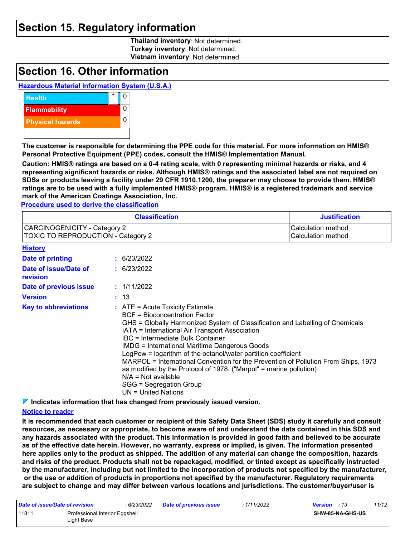### **Section 15. Regulatory information**

**Thailand inventory**: Not determined. **Turkey inventory**: Not determined. **Vietnam inventory**: Not determined.

### **Section 16. Other information**

#### **Hazardous Material Information System (U.S.A.)**



**The customer is responsible for determining the PPE code for this material. For more information on HMIS® Personal Protective Equipment (PPE) codes, consult the HMIS® Implementation Manual.**

**Caution: HMIS® ratings are based on a 0-4 rating scale, with 0 representing minimal hazards or risks, and 4 representing significant hazards or risks. Although HMIS® ratings and the associated label are not required on SDSs or products leaving a facility under 29 CFR 1910.1200, the preparer may choose to provide them. HMIS® ratings are to be used with a fully implemented HMIS® program. HMIS® is a registered trademark and service mark of the American Coatings Association, Inc.**

**Procedure used to derive the classification**

|                                                                    | <b>Classification</b>                                                                                                                                                                                                                                                                                                                                                                                                                                                                                                                                                                                        | <b>Justification</b> |
|--------------------------------------------------------------------|--------------------------------------------------------------------------------------------------------------------------------------------------------------------------------------------------------------------------------------------------------------------------------------------------------------------------------------------------------------------------------------------------------------------------------------------------------------------------------------------------------------------------------------------------------------------------------------------------------------|----------------------|
| CARCINOGENICITY - Category 2<br>TOXIC TO REPRODUCTION - Category 2 | Calculation method<br>Calculation method                                                                                                                                                                                                                                                                                                                                                                                                                                                                                                                                                                     |                      |
| <b>History</b>                                                     |                                                                                                                                                                                                                                                                                                                                                                                                                                                                                                                                                                                                              |                      |
| Date of printing                                                   | : 6/23/2022                                                                                                                                                                                                                                                                                                                                                                                                                                                                                                                                                                                                  |                      |
| Date of issue/Date of<br>revision                                  | : 6/23/2022                                                                                                                                                                                                                                                                                                                                                                                                                                                                                                                                                                                                  |                      |
| Date of previous issue                                             | : 1/11/2022                                                                                                                                                                                                                                                                                                                                                                                                                                                                                                                                                                                                  |                      |
| <b>Version</b>                                                     | : 13                                                                                                                                                                                                                                                                                                                                                                                                                                                                                                                                                                                                         |                      |
| <b>Key to abbreviations</b>                                        | $:$ ATE = Acute Toxicity Estimate<br>BCF = Bioconcentration Factor<br>GHS = Globally Harmonized System of Classification and Labelling of Chemicals<br>IATA = International Air Transport Association<br>IBC = Intermediate Bulk Container<br><b>IMDG = International Maritime Dangerous Goods</b><br>LogPow = logarithm of the octanol/water partition coefficient<br>MARPOL = International Convention for the Prevention of Pollution From Ships, 1973<br>as modified by the Protocol of 1978. ("Marpol" = marine pollution)<br>$N/A = Not available$<br>SGG = Segregation Group<br>$UN = United Nations$ |                      |

**Indicates information that has changed from previously issued version.**

#### **Notice to reader**

**It is recommended that each customer or recipient of this Safety Data Sheet (SDS) study it carefully and consult resources, as necessary or appropriate, to become aware of and understand the data contained in this SDS and any hazards associated with the product. This information is provided in good faith and believed to be accurate as of the effective date herein. However, no warranty, express or implied, is given. The information presented here applies only to the product as shipped. The addition of any material can change the composition, hazards and risks of the product. Products shall not be repackaged, modified, or tinted except as specifically instructed by the manufacturer, including but not limited to the incorporation of products not specified by the manufacturer, or the use or addition of products in proportions not specified by the manufacturer. Regulatory requirements are subject to change and may differ between various locations and jurisdictions. The customer/buyer/user is** 

| Date of issue/Date of revision |                                              | : 6/23/2022 | <b>Date of previous issue</b> | : 1/11/2022 | <b>Version</b> : 13 |                         | 11/12 |
|--------------------------------|----------------------------------------------|-------------|-------------------------------|-------------|---------------------|-------------------------|-------|
| 11811                          | Professional Interior Eggshell<br>Light Base |             |                               |             |                     | <b>SHW-85-NA-GHS-US</b> |       |